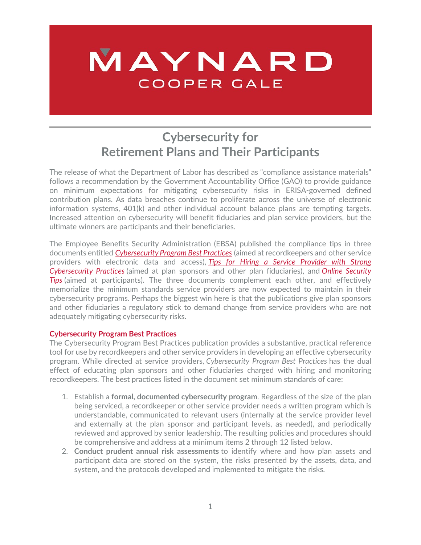# MAYNARD COOPER GALE

## **Cybersecurity for Retirement Plans and Their Participants**

The release of what the Department of Labor has described as "compliance assistance materials" follows a recommendation by the Government Accountability Office (GAO) to provide guidance on minimum expectations for mitigating cybersecurity risks in ERISA-governed defined contribution plans. As data breaches continue to proliferate across the universe of electronic information systems, 401(k) and other individual account balance plans are tempting targets. Increased attention on cybersecurity will benefit fiduciaries and plan service providers, but the ultimate winners are participants and their beneficiaries.

The Employee Benefits Security Administration (EBSA) published the compliance tips in three documents entitled *[Cybersecurity Program Best Practices](https://www.dol.gov/sites/dolgov/files/ebsa/key-topics/retirement-benefits/cybersecurity/best-practices.pdf)* (aimed at recordkeepers and other service providers with electronic data and access), *[Tips for Hiring a Service Provider with Strong](https://www.dol.gov/sites/dolgov/files/ebsa/key-topics/retirement-benefits/cybersecurity/tips-for-hiring-a-service-provider-with-strong-security-practices.pdf)  [Cybersecurity Practices](https://www.dol.gov/sites/dolgov/files/ebsa/key-topics/retirement-benefits/cybersecurity/tips-for-hiring-a-service-provider-with-strong-security-practices.pdf)* (aimed at plan sponsors and other plan fiduciaries), and *[Online Security](https://www.dol.gov/sites/dolgov/files/ebsa/key-topics/retirement-benefits/cybersecurity/online-security-tips.pdf)  [Tips](https://www.dol.gov/sites/dolgov/files/ebsa/key-topics/retirement-benefits/cybersecurity/online-security-tips.pdf)* (aimed at participants). The three documents complement each other, and effectively memorialize the minimum standards service providers are now expected to maintain in their cybersecurity programs. Perhaps the biggest win here is that the publications give plan sponsors and other fiduciaries a regulatory stick to demand change from service providers who are not adequately mitigating cybersecurity risks.

#### **Cybersecurity Program Best Practices**

The Cybersecurity Program Best Practices publication provides a substantive, practical reference tool for use by recordkeepers and other service providers in developing an effective cybersecurity program. While directed at service providers, *Cybersecurity Program Best Practices* has the dual effect of educating plan sponsors and other fiduciaries charged with hiring and monitoring recordkeepers. The best practices listed in the document set minimum standards of care:

- 1. Establish a **formal, documented cybersecurity program**. Regardless of the size of the plan being serviced, a recordkeeper or other service provider needs a written program which is understandable, communicated to relevant users (internally at the service provider level and externally at the plan sponsor and participant levels, as needed), and periodically reviewed and approved by senior leadership. The resulting policies and procedures should be comprehensive and address at a minimum items 2 through 12 listed below.
- 2. **Conduct prudent annual risk assessments** to identify where and how plan assets and participant data are stored on the system, the risks presented by the assets, data, and system, and the protocols developed and implemented to mitigate the risks.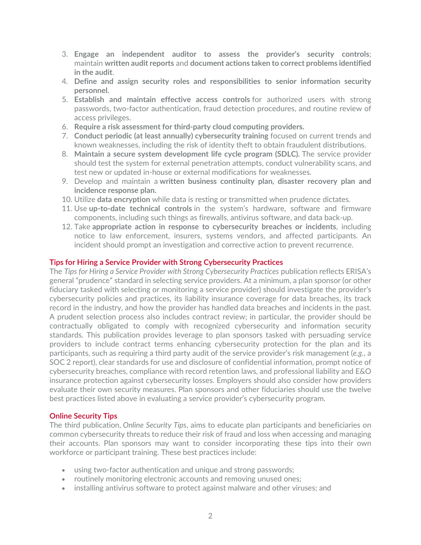- 3. **Engage an independent auditor to assess the provider's security controls**; maintain **written audit reports** and **document actions taken to correct problems identified in the audit**.
- 4. **Define and assign security roles and responsibilities to senior information security personnel.**
- 5. **Establish and maintain effective access controls** for authorized users with strong passwords, two-factor authentication, fraud detection procedures, and routine review of access privileges.
- 6. **Require a risk assessment for third-party cloud computing providers.**
- 7. **Conduct periodic (at least annually) cybersecurity training** focused on current trends and known weaknesses, including the risk of identity theft to obtain fraudulent distributions.
- 8. **Maintain a secure system development life cycle program (SDLC).** The service provider should test the system for external penetration attempts, conduct vulnerability scans, and test new or updated in-house or external modifications for weaknesses.
- 9. Develop and maintain a **written business continuity plan, disaster recovery plan and incidence response plan.**
- 10. Utilize **data encryption** while data is resting or transmitted when prudence dictates.
- 11. Use **up-to-date technical controls** in the system's hardware, software and firmware components, including such things as firewalls, antivirus software, and data back-up.
- 12. Take **appropriate action in response to cybersecurity breaches or incidents**, including notice to law enforcement, insurers, systems vendors, and affected participants. An incident should prompt an investigation and corrective action to prevent recurrence.

#### **Tips for Hiring a Service Provider with Strong Cybersecurity Practices**

The *Tips for Hiring a Service Provider with Strong Cybersecurity Practices* publication reflects ERISA's general "prudence" standard in selecting service providers. At a minimum, a plan sponsor (or other fiduciary tasked with selecting or monitoring a service provider) should investigate the provider's cybersecurity policies and practices, its liability insurance coverage for data breaches, its track record in the industry, and how the provider has handled data breaches and incidents in the past. A prudent selection process also includes contract review; in particular, the provider should be contractually obligated to comply with recognized cybersecurity and information security standards. This publication provides leverage to plan sponsors tasked with persuading service providers to include contract terms enhancing cybersecurity protection for the plan and its participants, such as requiring a third party audit of the service provider's risk management (*e.g.*, a SOC 2 report), clear standards for use and disclosure of confidential information, prompt notice of cybersecurity breaches, compliance with record retention laws, and professional liability and E&O insurance protection against cybersecurity losses. Employers should also consider how providers evaluate their own security measures. Plan sponsors and other fiduciaries should use the twelve best practices listed above in evaluating a service provider's cybersecurity program.

#### **Online Security Tips**

The third publication, *Online Security Tips*, aims to educate plan participants and beneficiaries on common cybersecurity threats to reduce their risk of fraud and loss when accessing and managing their accounts. Plan sponsors may want to consider incorporating these tips into their own workforce or participant training. These best practices include:

- using two-factor authentication and unique and strong passwords;
- routinely monitoring electronic accounts and removing unused ones;
- installing antivirus software to protect against malware and other viruses; and